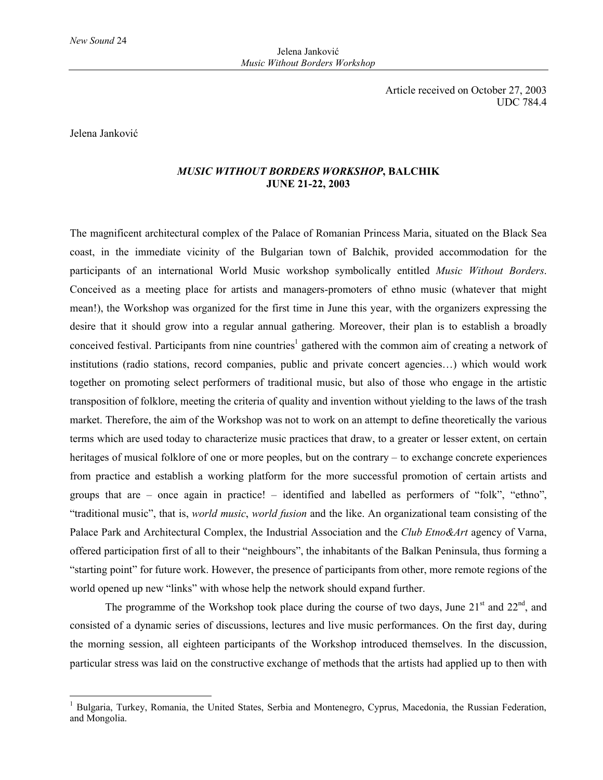Jelena Janković

 $\overline{a}$ 

## *MUSIC WITHOUT BORDERS WORKSHOP***, BALCHIK JUNE 21-22, 2003**

The magnificent architectural complex of the Palace of Romanian Princess Maria, situated on the Black Sea coast, in the immediate vicinity of the Bulgarian town of Balchik, provided accommodation for the participants of an international World Music workshop symbolically entitled *Music Without Borders*. Conceived as a meeting place for artists and managers-promoters of ethno music (whatever that might mean!), the Workshop was organized for the first time in June this year, with the organizers expressing the desire that it should grow into a regular annual gathering. Moreover, their plan is to establish a broadly conceived festival. Participants from nine countries<sup>1</sup> gathered with the common aim of creating a network of institutions (radio stations, record companies, public and private concert agencies…) which would work together on promoting select performers of traditional music, but also of those who engage in the artistic transposition of folklore, meeting the criteria of quality and invention without yielding to the laws of the trash market. Therefore, the aim of the Workshop was not to work on an attempt to define theoretically the various terms which are used today to characterize music practices that draw, to a greater or lesser extent, on certain heritages of musical folklore of one or more peoples, but on the contrary – to exchange concrete experiences from practice and establish a working platform for the more successful promotion of certain artists and groups that are – once again in practice! – identified and labelled as performers of "folk", "ethno", "traditional music", that is, *world music*, *world fusion* and the like. An organizational team consisting of the Palace Park and Architectural Complex, the Industrial Association and the *Club Etno&Art* agency of Varna, offered participation first of all to their "neighbours", the inhabitants of the Balkan Peninsula, thus forming a "starting point" for future work. However, the presence of participants from other, more remote regions of the world opened up new "links" with whose help the network should expand further.

The programme of the Workshop took place during the course of two days, June  $21<sup>st</sup>$  and  $22<sup>nd</sup>$ , and consisted of a dynamic series of discussions, lectures and live music performances. On the first day, during the morning session, all eighteen participants of the Workshop introduced themselves. In the discussion, particular stress was laid on the constructive exchange of methods that the artists had applied up to then with

<sup>1</sup> Bulgaria, Turkey, Romania, the United States, Serbia and Montenegro, Cyprus, Macedonia, the Russian Federation, and Mongolia.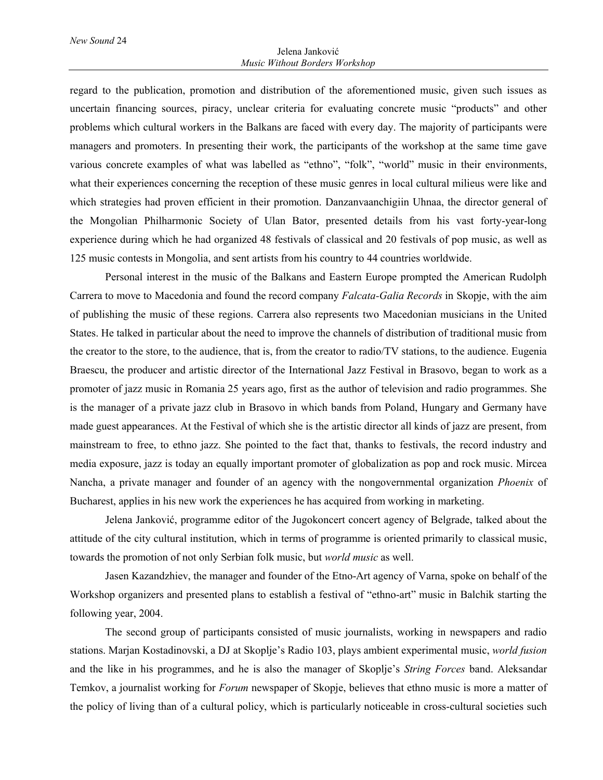regard to the publication, promotion and distribution of the aforementioned music, given such issues as uncertain financing sources, piracy, unclear criteria for evaluating concrete music "products" and other problems which cultural workers in the Balkans are faced with every day. The majority of participants were managers and promoters. In presenting their work, the participants of the workshop at the same time gave various concrete examples of what was labelled as "ethno", "folk", "world" music in their environments, what their experiences concerning the reception of these music genres in local cultural milieus were like and which strategies had proven efficient in their promotion. Danzanvaanchigiin Uhnaa, the director general of the Mongolian Philharmonic Society of Ulan Bator, presented details from his vast forty-year-long experience during which he had organized 48 festivals of classical and 20 festivals of pop music, as well as 125 music contests in Mongolia, and sent artists from his country to 44 countries worldwide.

Personal interest in the music of the Balkans and Eastern Europe prompted the American Rudolph Carrera to move to Macedonia and found the record company *Falcata-Galia Records* in Skopje, with the aim of publishing the music of these regions. Carrera also represents two Macedonian musicians in the United States. He talked in particular about the need to improve the channels of distribution of traditional music from the creator to the store, to the audience, that is, from the creator to radio/TV stations, to the audience. Eugenia Braescu, the producer and artistic director of the International Jazz Festival in Brasovo, began to work as a promoter of jazz music in Romania 25 years ago, first as the author of television and radio programmes. She is the manager of a private jazz club in Brasovo in which bands from Poland, Hungary and Germany have made guest appearances. At the Festival of which she is the artistic director all kinds of jazz are present, from mainstream to free, to ethno jazz. She pointed to the fact that, thanks to festivals, the record industry and media exposure, jazz is today an equally important promoter of globalization as pop and rock music. Mircea Nancha, a private manager and founder of an agency with the nongovernmental organization *Phoenix* of Bucharest, applies in his new work the experiences he has acquired from working in marketing.

Jelena Janković, programme editor of the Jugokoncert concert agency of Belgrade, talked about the attitude of the city cultural institution, which in terms of programme is oriented primarily to classical music, towards the promotion of not only Serbian folk music, but *world music* as well.

Jasen Kazandzhiev, the manager and founder of the Etno-Art agency of Varna, spoke on behalf of the Workshop organizers and presented plans to establish a festival of "ethno-art" music in Balchik starting the following year, 2004.

The second group of participants consisted of music journalists, working in newspapers and radio stations. Marjan Kostadinovski, a DJ at Skoplje's Radio 103, plays ambient experimental music, *world fusion* and the like in his programmes, and he is also the manager of Skoplje's *String Forces* band. Aleksandar Temkov, a journalist working for *Forum* newspaper of Skopje, believes that ethno music is more a matter of the policy of living than of a cultural policy, which is particularly noticeable in cross-cultural societies such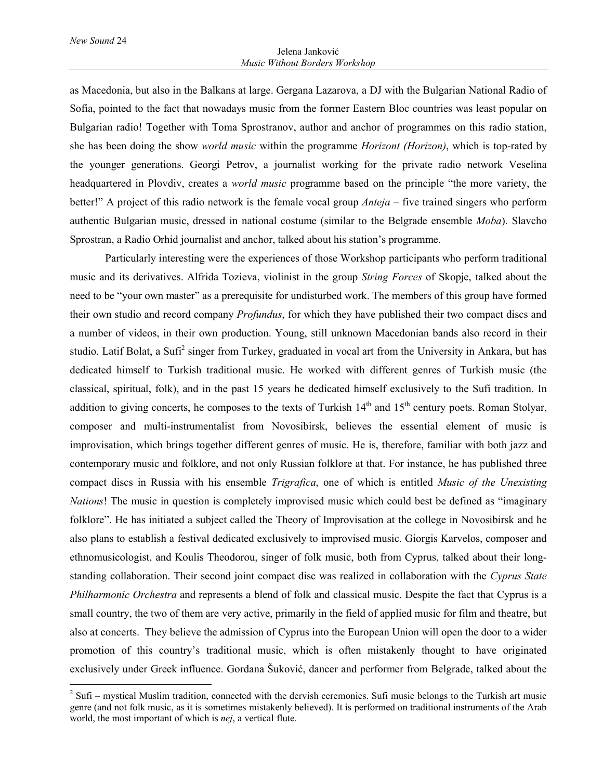$\overline{a}$ 

as Macedonia, but also in the Balkans at large. Gergana Lazarova, a DJ with the Bulgarian National Radio of Sofia, pointed to the fact that nowadays music from the former Eastern Bloc countries was least popular on Bulgarian radio! Together with Toma Sprostranov, author and anchor of programmes on this radio station, she has been doing the show *world music* within the programme *Horizont (Horizon)*, which is top-rated by the younger generations. Georgi Petrov, a journalist working for the private radio network Veselina headquartered in Plovdiv, creates a *world music* programme based on the principle "the more variety, the better!" A project of this radio network is the female vocal group *Anteja* – five trained singers who perform authentic Bulgarian music, dressed in national costume (similar to the Belgrade ensemble *Moba*). Slavcho Sprostran, a Radio Orhid journalist and anchor, talked about his station's programme.

Particularly interesting were the experiences of those Workshop participants who perform traditional music and its derivatives. Alfrida Tozieva, violinist in the group *String Forces* of Skopje, talked about the need to be "your own master" as a prerequisite for undisturbed work. The members of this group have formed their own studio and record company *Profundus*, for which they have published their two compact discs and a number of videos, in their own production. Young, still unknown Macedonian bands also record in their studio. Latif Bolat, a Sufi<sup>2</sup> singer from Turkey, graduated in vocal art from the University in Ankara, but has dedicated himself to Turkish traditional music. He worked with different genres of Turkish music (the classical, spiritual, folk), and in the past 15 years he dedicated himself exclusively to the Sufi tradition. In addition to giving concerts, he composes to the texts of Turkish  $14<sup>th</sup>$  and  $15<sup>th</sup>$  century poets. Roman Stolyar, composer and multi-instrumentalist from Novosibirsk, believes the essential element of music is improvisation, which brings together different genres of music. He is, therefore, familiar with both jazz and contemporary music and folklore, and not only Russian folklore at that. For instance, he has published three compact discs in Russia with his ensemble *Trigrafica*, one of which is entitled *Music of the Unexisting Nations*! The music in question is completely improvised music which could best be defined as "imaginary folklore". He has initiated a subject called the Theory of Improvisation at the college in Novosibirsk and he also plans to establish a festival dedicated exclusively to improvised music. Giorgis Karvelos, composer and ethnomusicologist, and Koulis Theodorou, singer of folk music, both from Cyprus, talked about their longstanding collaboration. Their second joint compact disc was realized in collaboration with the *Cyprus State Philharmonic Orchestra* and represents a blend of folk and classical music. Despite the fact that Cyprus is a small country, the two of them are very active, primarily in the field of applied music for film and theatre, but also at concerts. They believe the admission of Cyprus into the European Union will open the door to a wider promotion of this country's traditional music, which is often mistakenly thought to have originated exclusively under Greek influence. Gordana Šuković, dancer and performer from Belgrade, talked about the

 $2^{2}$  Sufi – mystical Muslim tradition, connected with the dervish ceremonies. Sufi music belongs to the Turkish art music genre (and not folk music, as it is sometimes mistakenly believed). It is performed on traditional instruments of the Arab world, the most important of which is *nej*, a vertical flute.